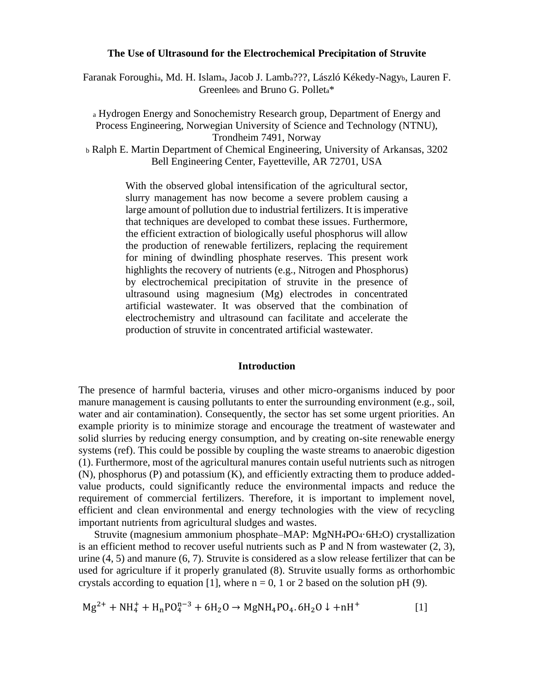#### **The Use of Ultrasound for the Electrochemical Precipitation of Struvite**

Faranak Foroughia, Md. H. Islama, Jacob J. Lamba???, László Kékedy-Nagyb, Lauren F. Greenlee<sub>b</sub> and Bruno G. Pollet<sub>a</sub>\*

<sup>a</sup> Hydrogen Energy and Sonochemistry Research group, Department of Energy and Process Engineering, Norwegian University of Science and Technology (NTNU), Trondheim 7491, Norway <sup>b</sup> Ralph E. Martin Department of Chemical Engineering, University of Arkansas, 3202 Bell Engineering Center, Fayetteville, AR 72701, USA

With the observed global intensification of the agricultural sector, slurry management has now become a severe problem causing a large amount of pollution due to industrial fertilizers. It is imperative that techniques are developed to combat these issues. Furthermore, the efficient extraction of biologically useful phosphorus will allow the production of renewable fertilizers, replacing the requirement for mining of dwindling phosphate reserves. This present work highlights the recovery of nutrients (e.g., Nitrogen and Phosphorus) by electrochemical precipitation of struvite in the presence of ultrasound using magnesium (Mg) electrodes in concentrated artificial wastewater. It was observed that the combination of electrochemistry and ultrasound can facilitate and accelerate the production of struvite in concentrated artificial wastewater.

#### **Introduction**

The presence of harmful bacteria, viruses and other micro-organisms induced by poor manure management is causing pollutants to enter the surrounding environment (e.g., soil, water and air contamination). Consequently, the sector has set some urgent priorities. An example priority is to minimize storage and encourage the treatment of wastewater and solid slurries by reducing energy consumption, and by creating on-site renewable energy systems (ref). This could be possible by coupling the waste streams to anaerobic digestion (1). Furthermore, most of the agricultural manures contain useful nutrients such as nitrogen (N), phosphorus (P) and potassium (K), and efficiently extracting them to produce addedvalue products, could significantly reduce the environmental impacts and reduce the requirement of commercial fertilizers. Therefore, it is important to implement novel, efficient and clean environmental and energy technologies with the view of recycling important nutrients from agricultural sludges and wastes.

Struvite (magnesium ammonium phosphate–MAP: MgNH4PO4·6H2O) crystallization is an efficient method to recover useful nutrients such as P and N from wastewater (2, 3), urine (4, 5) and manure (6, 7). Struvite is considered as a slow release fertilizer that can be used for agriculture if it properly granulated (8). Struvite usually forms as orthorhombic crystals according to equation [1], where  $n = 0$ , 1 or 2 based on the solution pH (9).

$$
Mg^{2+} + NH_4^+ + H_nPO_4^{n-3} + 6H_2O \rightarrow MgNH_4PO_4.6H_2O \downarrow + nH^+ \tag{1}
$$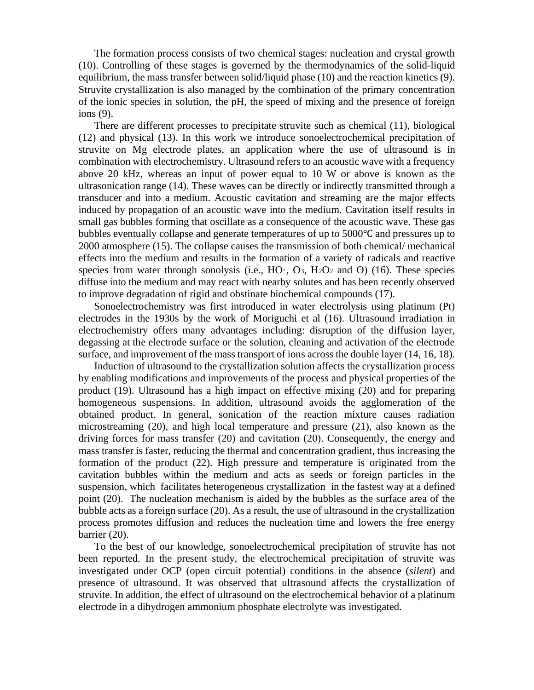The formation process consists of two chemical stages: nucleation and crystal growth (10). Controlling of these stages is governed by the thermodynamics of the solid-liquid equilibrium, the mass transfer between solid/liquid phase (10) and the reaction kinetics (9). Struvite crystallization is also managed by the combination of the primary concentration of the ionic species in solution, the pH, the speed of mixing and the presence of foreign ions (9).

There are different processes to precipitate struvite such as chemical (11), biological (12) and physical (13). In this work we introduce sonoelectrochemical precipitation of struvite on Mg electrode plates, an application where the use of ultrasound is in combination with electrochemistry. Ultrasound refers to an acoustic wave with a frequency above 20 kHz, whereas an input of power equal to 10 W or above is known as the ultrasonication range (14). These waves can be directly or indirectly transmitted through a transducer and into a medium. Acoustic cavitation and streaming are the major effects induced by propagation of an acoustic wave into the medium. Cavitation itself results in small gas bubbles forming that oscillate as a consequence of the acoustic wave. These gas bubbles eventually collapse and generate temperatures of up to 5000℃ and pressures up to 2000 atmosphere (15). The collapse causes the transmission of both chemical/ mechanical effects into the medium and results in the formation of a variety of radicals and reactive species from water through sonolysis (i.e.,  $HO_1$ ,  $O_3$ ,  $H_2O_2$  and  $O$ ) (16). These species diffuse into the medium and may react with nearby solutes and has been recently observed to improve degradation of rigid and obstinate biochemical compounds (17).

Sonoelectrochemistry was first introduced in water electrolysis using platinum (Pt) electrodes in the 1930s by the work of Moriguchi et al (16). Ultrasound irradiation in electrochemistry offers many advantages including: disruption of the diffusion layer, degassing at the electrode surface or the solution, cleaning and activation of the electrode surface, and improvement of the mass transport of ions across the double layer (14, 16, 18).

Induction of ultrasound to the crystallization solution affects the crystallization process by enabling modifications and improvements of the process and physical properties of the product (19). Ultrasound has a high impact on effective mixing (20) and for preparing homogeneous suspensions. In addition, ultrasound avoids the agglomeration of the obtained product. In general, sonication of the reaction mixture causes radiation microstreaming (20), and high local temperature and pressure (21), also known as the driving forces for mass transfer (20) and cavitation (20). Consequently, the energy and mass transfer is faster, reducing the thermal and concentration gradient, thus increasing the formation of the product (22). High pressure and temperature is originated from the cavitation bubbles within the medium and acts as seeds or foreign particles in the suspension, which facilitates heterogeneous crystallization in the fastest way at a defined point (20). The nucleation mechanism is aided by the bubbles as the surface area of the bubble acts as a foreign surface (20). As a result, the use of ultrasound in the crystallization process promotes diffusion and reduces the nucleation time and lowers the free energy barrier (20).

To the best of our knowledge, sonoelectrochemical precipitation of struvite has not been reported. In the present study, the electrochemical precipitation of struvite was investigated under OCP (open circuit potential) conditions in the absence (*silent*) and presence of ultrasound. It was observed that ultrasound affects the crystallization of struvite. In addition, the effect of ultrasound on the electrochemical behavior of a platinum electrode in a dihydrogen ammonium phosphate electrolyte was investigated.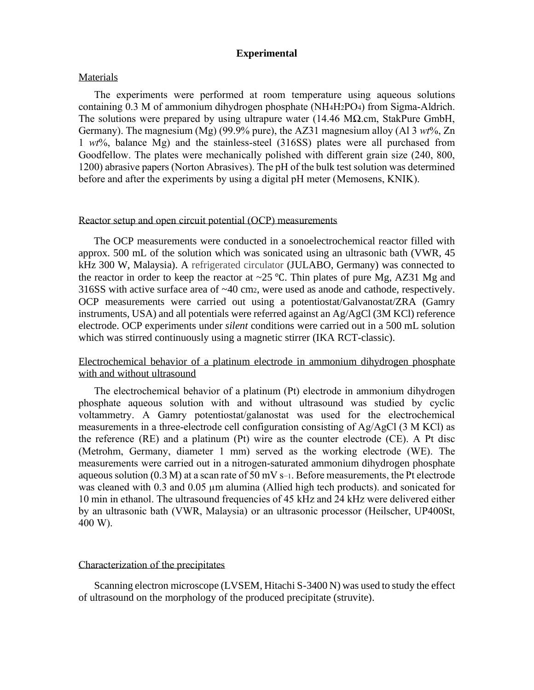### **Experimental**

#### **Materials**

The experiments were performed at room temperature using aqueous solutions containing 0.3 M of ammonium dihydrogen phosphate (NH4H2PO4) from Sigma-Aldrich. The solutions were prepared by using ultrapure water (14.46 M $\Omega$ .cm, StakPure GmbH, Germany). The magnesium (Mg) (99.9% pure), the AZ31 magnesium alloy (Al 3 *wt*%, Zn 1 *wt*%, balance Mg) and the stainless-steel (316SS) plates were all purchased from Goodfellow. The plates were mechanically polished with different grain size (240, 800, 1200) abrasive papers (Norton Abrasives). The pH of the bulk test solution was determined before and after the experiments by using a digital pH meter (Memosens, KNIK).

#### Reactor setup and open circuit potential (OCP) measurements

The OCP measurements were conducted in a sonoelectrochemical reactor filled with approx. 500 mL of the solution which was sonicated using an ultrasonic bath (VWR, 45 kHz 300 W, Malaysia). A refrigerated circulator (JULABO, Germany) was connected to the reactor in order to keep the reactor at ~25 °C. Thin plates of pure Mg, AZ31 Mg and 316SS with active surface area of ~40 cm2, were used as anode and cathode, respectively. OCP measurements were carried out using a potentiostat/Galvanostat/ZRA (Gamry instruments, USA) and all potentials were referred against an Ag/AgCl (3M KCl) reference electrode. OCP experiments under *silent* conditions were carried out in a 500 mL solution which was stirred continuously using a magnetic stirrer (IKA RCT-classic).

### Electrochemical behavior of a platinum electrode in ammonium dihydrogen phosphate with and without ultrasound

The electrochemical behavior of a platinum (Pt) electrode in ammonium dihydrogen phosphate aqueous solution with and without ultrasound was studied by cyclic voltammetry. A Gamry potentiostat/galanostat was used for the electrochemical measurements in a three-electrode cell configuration consisting of Ag/AgCl (3 M KCl) as the reference (RE) and a platinum (Pt) wire as the counter electrode (CE). A Pt disc (Metrohm, Germany, diameter 1 mm) served as the working electrode (WE). The measurements were carried out in a nitrogen-saturated ammonium dihydrogen phosphate aqueous solution (0.3 M) at a scan rate of 50 mV s−1. Before measurements, the Pt electrode was cleaned with  $0.3$  and  $0.05 \mu m$  alumina (Allied high tech products). and sonicated for 10 min in ethanol. The ultrasound frequencies of 45 kHz and 24 kHz were delivered either by an ultrasonic bath (VWR, Malaysia) or an ultrasonic processor (Heilscher, UP400St, 400 W).

#### Characterization of the precipitates

Scanning electron microscope (LVSEM, Hitachi S-3400 N) was used to study the effect of ultrasound on the morphology of the produced precipitate (struvite).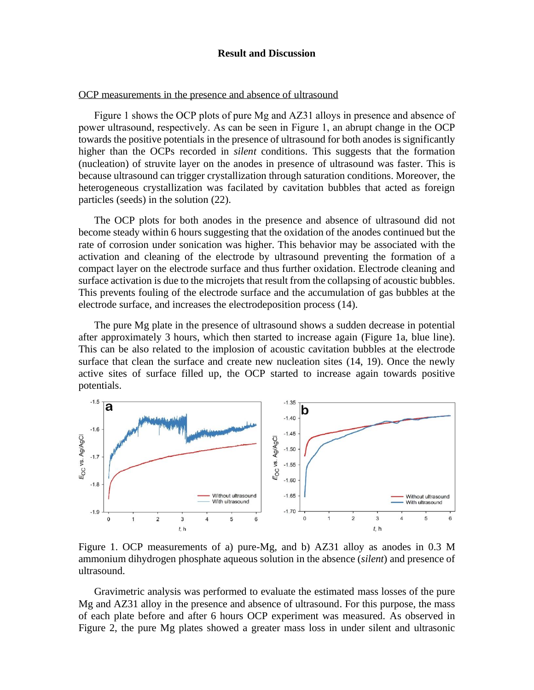#### **Result and Discussion**

#### OCP measurements in the presence and absence of ultrasound

Figure 1 shows the OCP plots of pure Mg and AZ31 alloys in presence and absence of power ultrasound, respectively. As can be seen in Figure 1, an abrupt change in the OCP towards the positive potentials in the presence of ultrasound for both anodes is significantly higher than the OCPs recorded in *silent* conditions. This suggests that the formation (nucleation) of struvite layer on the anodes in presence of ultrasound was faster. This is because ultrasound can trigger crystallization through saturation conditions. Moreover, the heterogeneous crystallization was facilated by cavitation bubbles that acted as foreign particles (seeds) in the solution (22).

The OCP plots for both anodes in the presence and absence of ultrasound did not become steady within 6 hours suggesting that the oxidation of the anodes continued but the rate of corrosion under sonication was higher. This behavior may be associated with the activation and cleaning of the electrode by ultrasound preventing the formation of a compact layer on the electrode surface and thus further oxidation. Electrode cleaning and surface activation is due to the microjets that result from the collapsing of acoustic bubbles. This prevents fouling of the electrode surface and the accumulation of gas bubbles at the electrode surface, and increases the electrodeposition process (14).

The pure Mg plate in the presence of ultrasound shows a sudden decrease in potential after approximately 3 hours, which then started to increase again (Figure 1a, blue line). This can be also related to the implosion of acoustic cavitation bubbles at the electrode surface that clean the surface and create new nucleation sites (14, 19). Once the newly active sites of surface filled up, the OCP started to increase again towards positive potentials.



Figure 1. OCP measurements of a) pure-Mg, and b) AZ31 alloy as anodes in 0.3 M ammonium dihydrogen phosphate aqueous solution in the absence (*silent*) and presence of ultrasound.

Gravimetric analysis was performed to evaluate the estimated mass losses of the pure Mg and AZ31 alloy in the presence and absence of ultrasound. For this purpose, the mass of each plate before and after 6 hours OCP experiment was measured. As observed in Figure 2, the pure Mg plates showed a greater mass loss in under silent and ultrasonic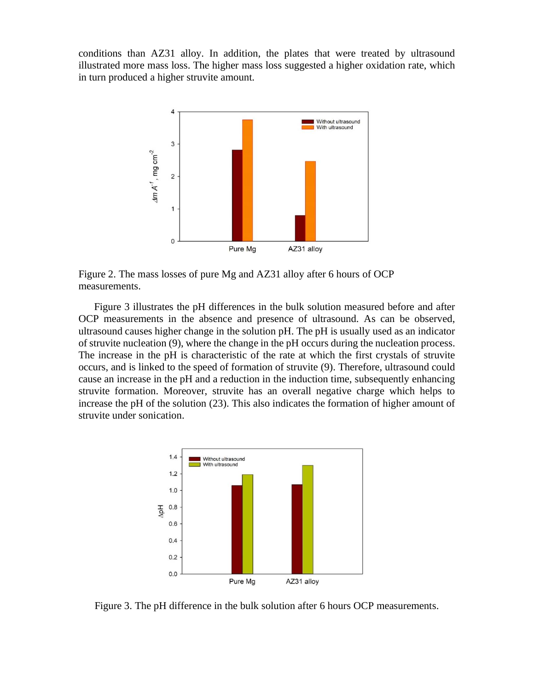conditions than AZ31 alloy. In addition, the plates that were treated by ultrasound illustrated more mass loss. The higher mass loss suggested a higher oxidation rate, which in turn produced a higher struvite amount.



Figure 2. The mass losses of pure Mg and AZ31 alloy after 6 hours of OCP measurements.

Figure 3 illustrates the pH differences in the bulk solution measured before and after OCP measurements in the absence and presence of ultrasound. As can be observed, ultrasound causes higher change in the solution pH. The pH is usually used as an indicator of struvite nucleation (9), where the change in the pH occurs during the nucleation process. The increase in the pH is characteristic of the rate at which the first crystals of struvite occurs, and is linked to the speed of formation of struvite (9). Therefore, ultrasound could cause an increase in the pH and a reduction in the induction time, subsequently enhancing struvite formation. Moreover, struvite has an overall negative charge which helps to increase the pH of the solution (23). This also indicates the formation of higher amount of struvite under sonication.



Figure 3. The pH difference in the bulk solution after 6 hours OCP measurements.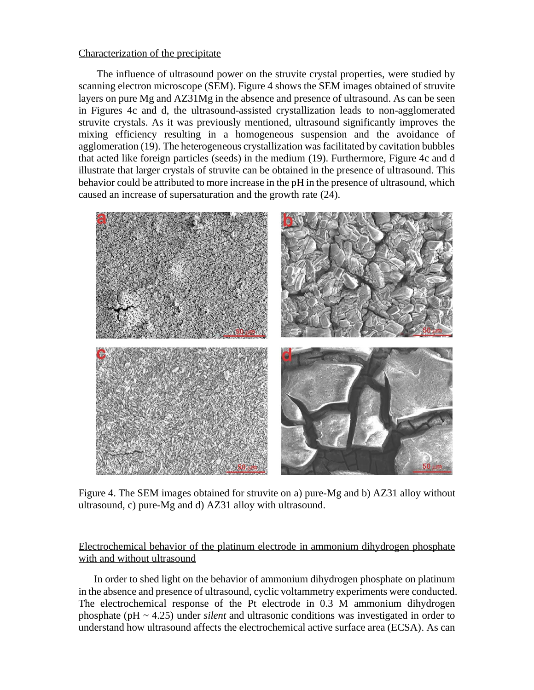### Characterization of the precipitate

The influence of ultrasound power on the struvite crystal properties, were studied by scanning electron microscope (SEM). Figure 4 shows the SEM images obtained of struvite layers on pure Mg and AZ31Mg in the absence and presence of ultrasound. As can be seen in Figures 4c and d, the ultrasound-assisted crystallization leads to non-agglomerated struvite crystals. As it was previously mentioned, ultrasound significantly improves the mixing efficiency resulting in a homogeneous suspension and the avoidance of agglomeration (19). The heterogeneous crystallization was facilitated by cavitation bubbles that acted like foreign particles (seeds) in the medium (19). Furthermore, Figure 4c and d illustrate that larger crystals of struvite can be obtained in the presence of ultrasound. This behavior could be attributed to more increase in the pH in the presence of ultrasound, which caused an increase of supersaturation and the growth rate (24).



Figure 4. The SEM images obtained for struvite on a) pure-Mg and b) AZ31 alloy without ultrasound, c) pure-Mg and d) AZ31 alloy with ultrasound.

# Electrochemical behavior of the platinum electrode in ammonium dihydrogen phosphate with and without ultrasound

In order to shed light on the behavior of ammonium dihydrogen phosphate on platinum in the absence and presence of ultrasound, cyclic voltammetry experiments were conducted. The electrochemical response of the Pt electrode in 0.3 M ammonium dihydrogen phosphate (pH ~ 4.25) under *silent* and ultrasonic conditions was investigated in order to understand how ultrasound affects the electrochemical active surface area (ECSA). As can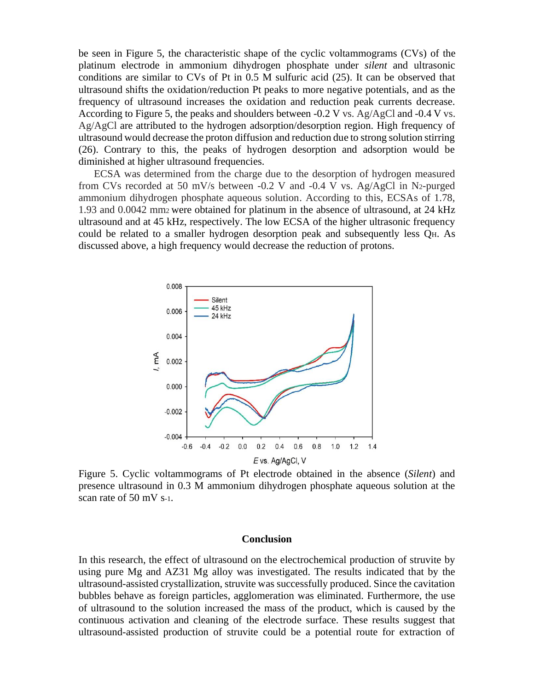be seen in Figure 5, the characteristic shape of the cyclic voltammograms (CVs) of the platinum electrode in ammonium dihydrogen phosphate under *silent* and ultrasonic conditions are similar to CVs of Pt in 0.5 M sulfuric acid (25). It can be observed that ultrasound shifts the oxidation/reduction Pt peaks to more negative potentials, and as the frequency of ultrasound increases the oxidation and reduction peak currents decrease. According to Figure 5, the peaks and shoulders between  $-0.2$  V vs. Ag/AgCl and  $-0.4$  V vs. Ag/AgCl are attributed to the hydrogen adsorption/desorption region. High frequency of ultrasound would decrease the proton diffusion and reduction due to strong solution stirring (26). Contrary to this, the peaks of hydrogen desorption and adsorption would be diminished at higher ultrasound frequencies.

ECSA was determined from the charge due to the desorption of hydrogen measured from CVs recorded at 50 mV/s between -0.2 V and -0.4 V vs. Ag/AgCl in N2-purged ammonium dihydrogen phosphate aqueous solution. According to this, ECSAs of 1.78, 1.93 and 0.0042 mm2 were obtained for platinum in the absence of ultrasound, at 24 kHz ultrasound and at 45 kHz, respectively. The low ECSA of the higher ultrasonic frequency could be related to a smaller hydrogen desorption peak and subsequently less QH. As discussed above, a high frequency would decrease the reduction of protons.



Figure 5. Cyclic voltammograms of Pt electrode obtained in the absence (*Silent*) and presence ultrasound in 0.3 M ammonium dihydrogen phosphate aqueous solution at the scan rate of 50 mV s-1.

#### **Conclusion**

In this research, the effect of ultrasound on the electrochemical production of struvite by using pure Mg and AZ31 Mg alloy was investigated. The results indicated that by the ultrasound-assisted crystallization, struvite was successfully produced. Since the cavitation bubbles behave as foreign particles, agglomeration was eliminated. Furthermore, the use of ultrasound to the solution increased the mass of the product, which is caused by the continuous activation and cleaning of the electrode surface. These results suggest that ultrasound-assisted production of struvite could be a potential route for extraction of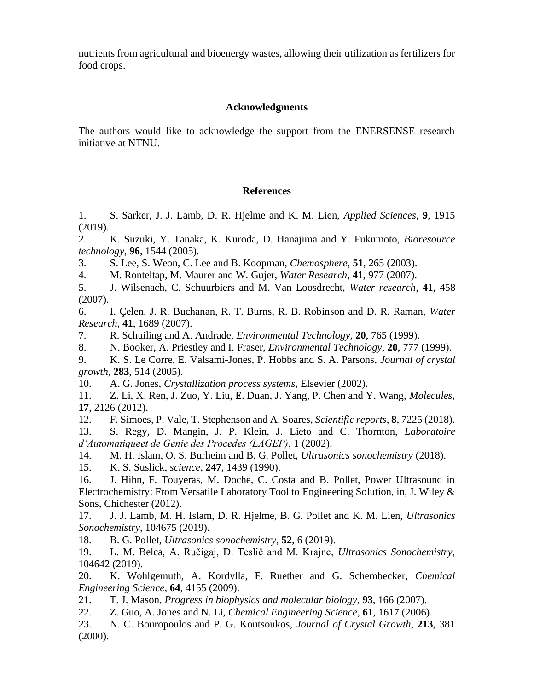nutrients from agricultural and bioenergy wastes, allowing their utilization as fertilizers for food crops.

## **Acknowledgments**

The authors would like to acknowledge the support from the ENERSENSE research initiative at NTNU.

# **References**

1. S. Sarker, J. J. Lamb, D. R. Hjelme and K. M. Lien, *Applied Sciences*, **9**, 1915 (2019).

2. K. Suzuki, Y. Tanaka, K. Kuroda, D. Hanajima and Y. Fukumoto, *Bioresource technology*, **96**, 1544 (2005).

3. S. Lee, S. Weon, C. Lee and B. Koopman, *Chemosphere*, **51**, 265 (2003).

4. M. Ronteltap, M. Maurer and W. Gujer, *Water Research*, **41**, 977 (2007).

5. J. Wilsenach, C. Schuurbiers and M. Van Loosdrecht, *Water research*, **41**, 458 (2007).

6. I. Çelen, J. R. Buchanan, R. T. Burns, R. B. Robinson and D. R. Raman, *Water Research*, **41**, 1689 (2007).

7. R. Schuiling and A. Andrade, *Environmental Technology*, **20**, 765 (1999).

8. N. Booker, A. Priestley and I. Fraser, *Environmental Technology*, **20**, 777 (1999).

9. K. S. Le Corre, E. Valsami-Jones, P. Hobbs and S. A. Parsons, *Journal of crystal growth*, **283**, 514 (2005).

10. A. G. Jones, *Crystallization process systems*, Elsevier (2002).

11. Z. Li, X. Ren, J. Zuo, Y. Liu, E. Duan, J. Yang, P. Chen and Y. Wang, *Molecules*, **17**, 2126 (2012).

12. F. Simoes, P. Vale, T. Stephenson and A. Soares, *Scientific reports*, **8**, 7225 (2018). 13. S. Regy, D. Mangin, J. P. Klein, J. Lieto and C. Thornton, *Laboratoire d'Automatiqueet de Genie des Procedes (LAGEP)*, 1 (2002).

14. M. H. Islam, O. S. Burheim and B. G. Pollet, *Ultrasonics sonochemistry* (2018).

15. K. S. Suslick, *science*, **247**, 1439 (1990).

16. J. Hihn, F. Touyeras, M. Doche, C. Costa and B. Pollet, Power Ultrasound in Electrochemistry: From Versatile Laboratory Tool to Engineering Solution, in, J. Wiley & Sons, Chichester (2012).

17. J. J. Lamb, M. H. Islam, D. R. Hjelme, B. G. Pollet and K. M. Lien, *Ultrasonics Sonochemistry*, 104675 (2019).

18. B. G. Pollet, *Ultrasonics sonochemistry*, **52**, 6 (2019).

19. L. M. Belca, A. Ručigaj, D. Teslič and M. Krajnc, *Ultrasonics Sonochemistry*, 104642 (2019).

20. K. Wohlgemuth, A. Kordylla, F. Ruether and G. Schembecker, *Chemical Engineering Science*, **64**, 4155 (2009).

21. T. J. Mason, *Progress in biophysics and molecular biology*, **93**, 166 (2007).

22. Z. Guo, A. Jones and N. Li, *Chemical Engineering Science*, **61**, 1617 (2006).

23. N. C. Bouropoulos and P. G. Koutsoukos, *Journal of Crystal Growth*, **213**, 381 (2000).